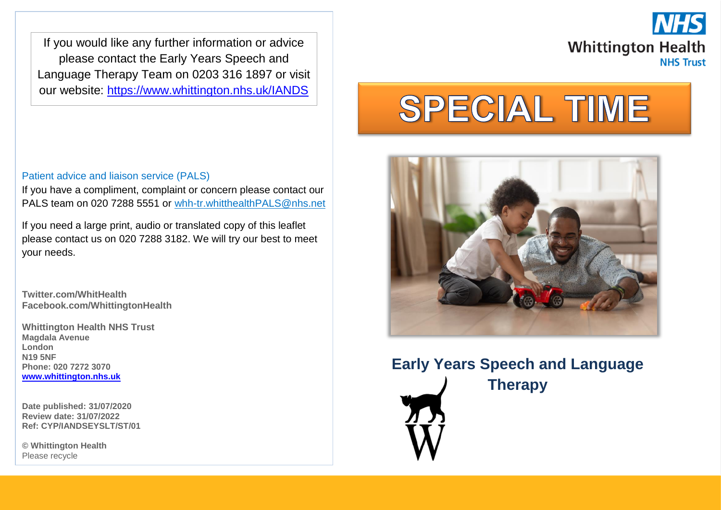If you would like any further information or advice please contact the Early Years Speech and Language Therapy Team on 0203 316 1897 or visit our website:<https://www.whittington.nhs.uk/IANDS>

If you have a compliment, complaint or concern please contact our PALS team on 020 7288 5551 or [whh-tr.whitthealthPALS@nhs.net](mailto:whh-tr.whitthealthPALS@nhs.net)



# **SPECIAL TIME**



# **Early Years Speech and Language Therapy**



If you need a large print, audio or translated copy of this leaflet please contact us on 020 7288 3182. We will try our best to meet

**Twitter.com/WhitHealth Facebook.com/WhittingtonHealth**

Patient advice and liaison service (PALS)

**Whittington Health NHS Trust Magdala Avenue London N19 5NF Phone: 020 7272 3070 [www.whittington.nhs.uk](http://www.whittington.nhs.uk/)**

**Date published: 31/07/2020 Review date: 31/07/2022 Ref: CYP/IANDSEYSLT/ST/01**

**© Whittington Health** Please recycle

your needs.